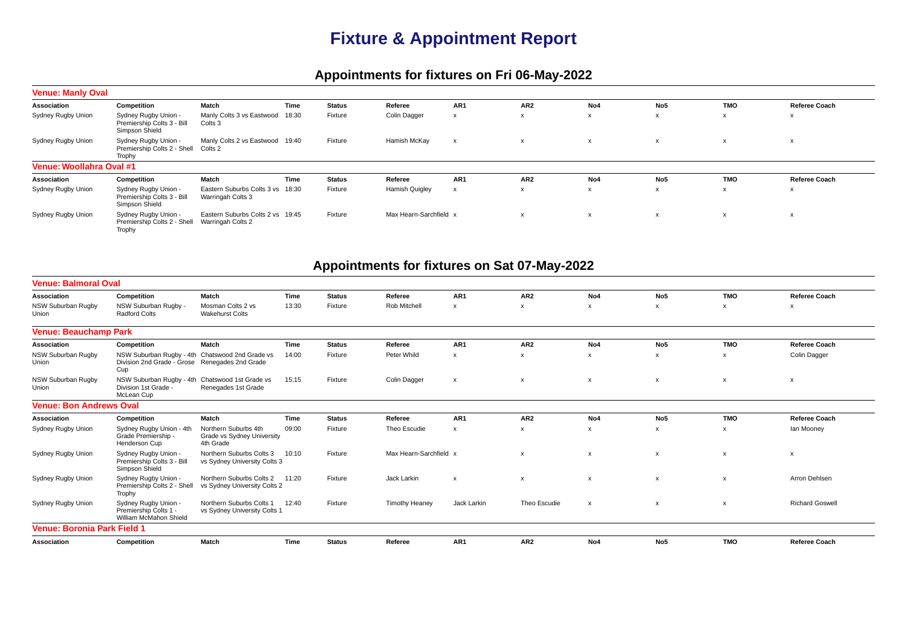## **Fixture & Appointment Report**

## **Appointments for fixtures on Fri 06-May-2022**

| <b>Venue: Manly Oval</b> |                                                                      |                                                       |       |               |                        |     |                 |     |                 |            |                           |
|--------------------------|----------------------------------------------------------------------|-------------------------------------------------------|-------|---------------|------------------------|-----|-----------------|-----|-----------------|------------|---------------------------|
| Association              | Competition                                                          | Match                                                 | Time  | <b>Status</b> | Referee                | AR1 | AR <sub>2</sub> | No4 | No5             | <b>TMO</b> | <b>Referee Coach</b>      |
| Sydney Rugby Union       | Sydney Rugby Union -<br>Premiership Colts 3 - Bill<br>Simpson Shield | Manly Colts 3 vs Eastwood<br>Colts 3                  | 18:30 | Fixture       | Colin Dagger           |     |                 | X   | $\mathsf{x}$    | X          | X                         |
| Sydney Rugby Union       | Sydney Rugby Union -<br>Premiership Colts 2 - Shell<br>Trophy        | Manly Colts 2 vs Eastwood 19:40<br>Colts 2            |       | Fixture       | Hamish McKay           |     |                 | X   | x               | x          | $\boldsymbol{\mathsf{x}}$ |
| Venue: Woollahra Oval #1 |                                                                      |                                                       |       |               |                        |     |                 |     |                 |            |                           |
| Association              | Competition                                                          | Match                                                 | Time  | <b>Status</b> | Referee                | AR1 | AR <sub>2</sub> | No4 | No <sub>5</sub> | <b>TMO</b> | <b>Referee Coach</b>      |
| Sydney Rugby Union       | Sydney Rugby Union -<br>Premiership Colts 3 - Bill<br>Simpson Shield | Eastern Suburbs Colts 3 vs 18:30<br>Warringah Colts 3 |       | Fixture       | <b>Hamish Quigley</b>  |     | X               | X   | X               | X          | ᄉ                         |
| Sydney Rugby Union       | Sydney Rugby Union -<br>Premiership Colts 2 - Shell<br>Trophy        | Eastern Suburbs Colts 2 vs 19:45<br>Warringah Colts 2 |       | Fixture       | Max Hearn-Sarchfield x |     |                 | X   | x               | х          | x                         |

## **Appointments for fixtures on Sat 07-May-2022**

| <b>Venue: Balmoral Oval</b>        |                                                                                                          |                                                                 |       |               |                        |                           |                           |                           |                           |                           |                           |
|------------------------------------|----------------------------------------------------------------------------------------------------------|-----------------------------------------------------------------|-------|---------------|------------------------|---------------------------|---------------------------|---------------------------|---------------------------|---------------------------|---------------------------|
| Association                        | Competition                                                                                              | <b>Match</b>                                                    | Time  | <b>Status</b> | Referee                | AR <sub>1</sub>           | AR <sub>2</sub>           | No4                       | No <sub>5</sub>           | <b>TMO</b>                | Referee Coach             |
| NSW Suburban Rugby<br>Union        | NSW Suburban Rugby -<br><b>Radford Colts</b>                                                             | Mosman Colts 2 vs<br><b>Wakehurst Colts</b>                     | 13:30 | Fixture       | Rob Mitchell           | X                         | X                         | $\boldsymbol{\mathsf{x}}$ | $\boldsymbol{\mathsf{x}}$ | X                         | $\boldsymbol{\mathsf{x}}$ |
| <b>Venue: Beauchamp Park</b>       |                                                                                                          |                                                                 |       |               |                        |                           |                           |                           |                           |                           |                           |
| Association                        | Competition                                                                                              | Match                                                           | Time  | <b>Status</b> | Referee                | AR <sub>1</sub>           | AR <sub>2</sub>           | No4                       | No <sub>5</sub>           | <b>TMO</b>                | <b>Referee Coach</b>      |
| NSW Suburban Rugby<br>Union        | NSW Suburban Rugby - 4th Chatswood 2nd Grade vs<br>Division 2nd Grade - Grose Renegades 2nd Grade<br>Cup |                                                                 | 14:00 | Fixture       | Peter Whild            | X                         | X                         | X                         |                           | X                         | Colin Dagger              |
| NSW Suburban Rugby<br>Union        | NSW Suburban Rugby - 4th Chatswood 1st Grade vs<br>Division 1st Grade -<br>McLean Cup                    | Renegades 1st Grade                                             | 15:15 | Fixture       | Colin Dagger           | $\boldsymbol{\mathsf{x}}$ | x                         | $\boldsymbol{\mathsf{x}}$ | X                         | X                         | $\boldsymbol{\mathsf{x}}$ |
| <b>Venue: Bon Andrews Oval</b>     |                                                                                                          |                                                                 |       |               |                        |                           |                           |                           |                           |                           |                           |
| Association                        | Competition                                                                                              | <b>Match</b>                                                    | Time  | <b>Status</b> | Referee                | AR <sub>1</sub>           | AR <sub>2</sub>           | No4                       | No <sub>5</sub>           | <b>TMO</b>                | <b>Referee Coach</b>      |
| Sydney Rugby Union                 | Sydney Rugby Union - 4th<br>Grade Premiership -<br>Henderson Cup                                         | Northern Suburbs 4th<br>Grade vs Sydney University<br>4th Grade | 09:00 | Fixture       | Theo Escudie           | X                         | x                         | x                         | $\mathsf{x}$              | X                         | lan Mooney                |
| Sydney Rugby Union                 | Sydney Rugby Union -<br>Premiership Colts 3 - Bill<br>Simpson Shield                                     | Northern Suburbs Colts 3<br>vs Sydney University Colts 3        | 10:10 | Fixture       | Max Hearn-Sarchfield x |                           | $\boldsymbol{\mathsf{x}}$ | $\mathsf{x}$              | $\boldsymbol{\mathsf{x}}$ | $\boldsymbol{\mathsf{x}}$ | $\pmb{\chi}$              |
| Sydney Rugby Union                 | Sydney Rugby Union -<br>Premiership Colts 2 - Shell<br>Trophy                                            | Northern Suburbs Colts 2<br>vs Sydney University Colts 2        | 11:20 | Fixture       | Jack Larkin            | $\boldsymbol{\mathsf{x}}$ | $\boldsymbol{\mathsf{x}}$ | $\mathsf{x}$              | $\mathsf{x}$              | $\boldsymbol{\mathsf{x}}$ | Arron Dehlsen             |
| Sydney Rugby Union                 | Sydney Rugby Union -<br>Premiership Colts 1 -<br>William McMahon Shield                                  | Northern Suburbs Colts 1<br>vs Sydney University Colts 1        | 12:40 | Fixture       | <b>Timothy Heaney</b>  | Jack Larkin               | Theo Escudie              | $\pmb{\chi}$              | $\boldsymbol{\mathsf{x}}$ | $\boldsymbol{\mathsf{x}}$ | <b>Richard Goswell</b>    |
| <b>Venue: Boronia Park Field 1</b> |                                                                                                          |                                                                 |       |               |                        |                           |                           |                           |                           |                           |                           |
| <b>Association</b>                 | Competition                                                                                              | Match                                                           | Time  | <b>Status</b> | Referee                | AR <sub>1</sub>           | AR <sub>2</sub>           | No4                       | No <sub>5</sub>           | <b>TMO</b>                | <b>Referee Coach</b>      |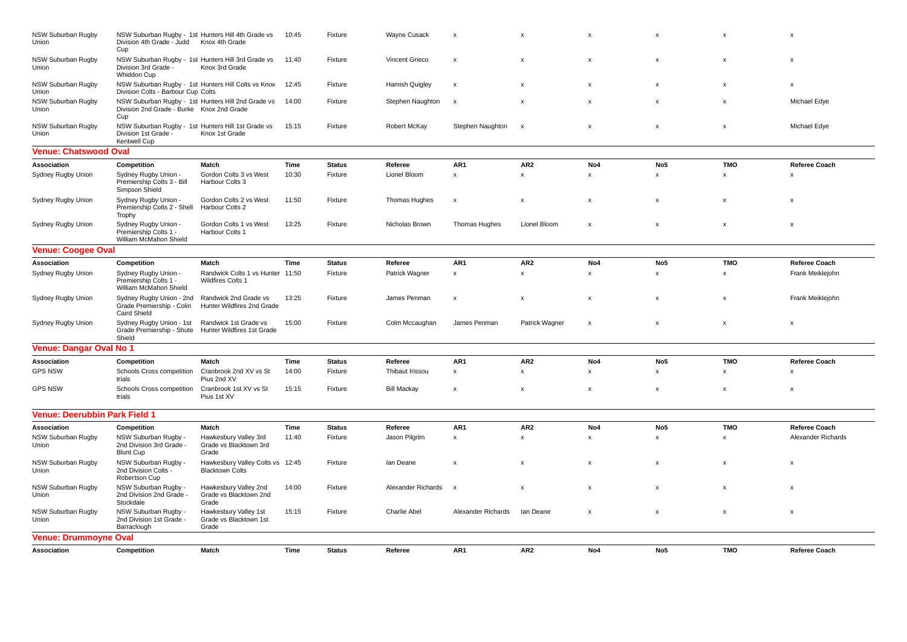| NSW Suburban Rugby<br>Union          | Division 4th Grade - Judd<br>Cup                                             | NSW Suburban Rugby - 1st Hunters Hill 4th Grade vs<br>Knox 4th Grade | 10:45 | Fixture       | Wayne Cusack          | $\boldsymbol{\mathsf{x}}$ | X                         | X                         | x               |                           | x                         |
|--------------------------------------|------------------------------------------------------------------------------|----------------------------------------------------------------------|-------|---------------|-----------------------|---------------------------|---------------------------|---------------------------|-----------------|---------------------------|---------------------------|
| NSW Suburban Rugby<br>Union          | Division 3rd Grade -<br>Whiddon Cup                                          | NSW Suburban Rugby - 1st Hunters Hill 3rd Grade vs<br>Knox 3rd Grade | 11:40 | Fixture       | Vincent Grieco        | $\boldsymbol{\mathsf{x}}$ | X                         | $\boldsymbol{\mathsf{x}}$ | $\mathsf{x}$    | X                         | $\boldsymbol{\mathsf{x}}$ |
| <b>NSW Suburban Rugby</b><br>Union   | Division Colts - Barbour Cup Colts                                           | NSW Suburban Rugby - 1st Hunters Hill Colts vs Knox                  | 12:45 | Fixture       | <b>Hamish Quigley</b> | $\boldsymbol{\mathsf{x}}$ | X                         | $\boldsymbol{\mathsf{x}}$ | $\mathsf{x}$    | $\boldsymbol{\mathsf{x}}$ | $\boldsymbol{\mathsf{x}}$ |
| NSW Suburban Rugby<br>Union          | Division 2nd Grade - Burke Knox 2nd Grade<br>Cup                             | NSW Suburban Rugby - 1st Hunters Hill 2nd Grade vs                   | 14:00 | Fixture       | Stephen Naughton      | x                         | $\pmb{\mathsf{x}}$        | $\pmb{\times}$            | x               | X                         | Michael Edye              |
| NSW Suburban Rugby<br>Union          | Division 1st Grade<br><b>Kentwell Cup</b>                                    | NSW Suburban Rugby - 1st Hunters Hill 1st Grade vs<br>Knox 1st Grade | 15:15 | Fixture       | Robert McKay          | Stephen Naughton          | $\boldsymbol{\mathsf{x}}$ | $\pmb{\times}$            | x               | x                         | Michael Edye              |
| <b>Venue: Chatswood Oval</b>         |                                                                              |                                                                      |       |               |                       |                           |                           |                           |                 |                           |                           |
| Association                          | Competition                                                                  | Match                                                                | Time  | <b>Status</b> | Referee               | AR1                       | AR <sub>2</sub>           | No4                       | No <sub>5</sub> | <b>TMO</b>                | <b>Referee Coach</b>      |
| Sydney Rugby Union                   | Sydney Rugby Union -<br>Premiership Colts 3 - Bill<br>Simpson Shield         | Gordon Colts 3 vs West<br>Harbour Colts 3                            | 10:30 | Fixture       | Lionel Bloom          | $\boldsymbol{\mathsf{x}}$ | $\mathsf{x}$              | x                         | $\mathsf{x}$    | $\mathsf{x}$              | X                         |
| Sydney Rugby Union                   | Sydney Rugby Union -<br>Premiership Colts 2 - Shell<br>Trophy                | Gordon Colts 2 vs West<br>Harbour Colts 2                            | 11:50 | Fixture       | Thomas Hughes         | $\pmb{\times}$            | $\pmb{\mathsf{x}}$        | $\pmb{\mathsf{x}}$        | x               | X                         | $\boldsymbol{\mathsf{x}}$ |
| Sydney Rugby Union                   | Sydney Rugby Union -<br>Premiership Colts 1 -<br>William McMahon Shield      | Gordon Colts 1 vs West<br>Harbour Colts 1                            | 13:25 | Fixture       | Nicholas Brown        | Thomas Hughes             | Lionel Bloom              | $\boldsymbol{\mathsf{x}}$ | x               | $\boldsymbol{\mathsf{x}}$ | $\boldsymbol{\mathsf{x}}$ |
| <b>Venue: Coogee Oval</b>            |                                                                              |                                                                      |       |               |                       |                           |                           |                           |                 |                           |                           |
| Association                          | Competition                                                                  | Match                                                                | Time  | <b>Status</b> | Referee               | AR1                       | AR <sub>2</sub>           | No4                       | No <sub>5</sub> | <b>TMO</b>                | Referee Coach             |
| Sydney Rugby Union                   | Sydney Rugby Union -<br>Premiership Colts 1 -<br>William McMahon Shield      | Randwick Colts 1 vs Hunter 11:50<br>Wildfires Colts 1                |       | Fixture       | Patrick Wagner        | $\boldsymbol{\mathsf{x}}$ | $\mathsf{x}$              | x                         | $\mathsf{x}$    | $\mathsf{x}$              | Frank Meiklejohn          |
| Sydney Rugby Union                   | Sydney Rugby Union - 2nd<br>Grade Premiership - Colin<br><b>Caird Shield</b> | Randwick 2nd Grade vs<br>Hunter Wildfires 2nd Grade                  | 13:25 | Fixture       | James Penman          | x                         | x                         | x                         | X               | X                         | Frank Meiklejohn          |
| Sydney Rugby Union                   | Sydney Rugby Union - 1st<br>Grade Premiership - Shute<br>Shield              | Randwick 1st Grade vs<br>Hunter Wildfires 1st Grade                  | 15:00 | Fixture       | Colm Mccaughan        | James Penman              | Patrick Wagner            | x                         | X               | X                         | $\boldsymbol{\mathsf{x}}$ |
| <b>Venue: Dangar Oval No 1</b>       |                                                                              |                                                                      |       |               |                       |                           |                           |                           |                 |                           |                           |
| Association                          | Competition                                                                  | Match                                                                | Time  | <b>Status</b> | Referee               | AR1                       | AR <sub>2</sub>           | No4                       | No <sub>5</sub> | <b>TMO</b>                | Referee Coach             |
| <b>GPS NSW</b>                       | Schools Cross competition<br>trials                                          | Cranbrook 2nd XV vs St<br>Pius 2nd XV                                | 14:00 | Fixture       | Thibaut Irissou       | $\mathbf{x}$              | $\mathbf{x}$              | x                         | $\mathsf{x}$    | $\boldsymbol{\mathsf{x}}$ | $\boldsymbol{\mathsf{x}}$ |
| <b>GPS NSW</b>                       | Schools Cross competition<br>trials                                          | Cranbrook 1st XV vs St<br>Pius 1st XV                                | 15:15 | Fixture       | <b>Bill Mackay</b>    | $\boldsymbol{\mathsf{x}}$ | X                         | $\boldsymbol{\mathsf{x}}$ | $\mathsf{x}$    | X                         | $\boldsymbol{\mathsf{x}}$ |
| <b>Venue: Deerubbin Park Field 1</b> |                                                                              |                                                                      |       |               |                       |                           |                           |                           |                 |                           |                           |
| Association                          | Competition                                                                  | Match                                                                | Time  | <b>Status</b> | Referee               | AR1                       | AR <sub>2</sub>           | No4                       | No <sub>5</sub> | <b>TMO</b>                | Referee Coach             |
| NSW Suburban Rugby<br>Union          | NSW Suburban Rugby -<br>2nd Division 3rd Grade -<br><b>Blunt Cup</b>         | Hawkesbury Valley 3rd<br>Grade vs Blacktown 3rd<br>Grade             | 11:40 | Fixture       | Jason Pilgrim         | x                         | $\pmb{\mathsf{x}}$        | $\mathsf x$               | $\mathsf X$     | $\mathsf{x}$              | Alexander Richards        |
| NSW Suburban Rugby<br>Union          | NSW Suburban Rugby -<br>2nd Division Colts -<br>Robertson Cup                | Hawkesbury Valley Colts vs 12:45<br><b>Blacktown Colts</b>           |       | Fixture       | lan Deane             | $\boldsymbol{\mathsf{x}}$ | x                         | x                         | x               | X                         | X                         |
| NSW Suburban Rugby<br>Union          | NSW Suburban Rugby -<br>2nd Division 2nd Grade -<br>Stockdale                | Hawkesbury Valley 2nd<br>Grade vs Blacktown 2nd<br>Grade             | 14:00 | Fixture       | Alexander Richards    | $\boldsymbol{\mathsf{x}}$ | X                         | $\boldsymbol{\mathsf{x}}$ | X               | X                         | $\boldsymbol{\mathsf{x}}$ |
| NSW Suburban Rugby<br>Union          | NSW Suburban Rugby -<br>2nd Division 1st Grade -<br>Barraclough              | Hawkesbury Valley 1st<br>Grade vs Blacktown 1st<br>Grade             | 15:15 | Fixture       | <b>Charlie Abel</b>   | Alexander Richards        | lan Deane                 | $\boldsymbol{\mathsf{x}}$ | X               | X                         | $\boldsymbol{\mathsf{x}}$ |
| <b>Venue: Drummoyne Oval</b>         |                                                                              |                                                                      |       |               |                       |                           |                           |                           |                 |                           |                           |
| Association                          | Competition                                                                  | Match                                                                | Time  | <b>Status</b> | Referee               | AR <sub>1</sub>           | AR <sub>2</sub>           | No <sub>4</sub>           | No <sub>5</sub> | <b>TMO</b>                | Referee Coach             |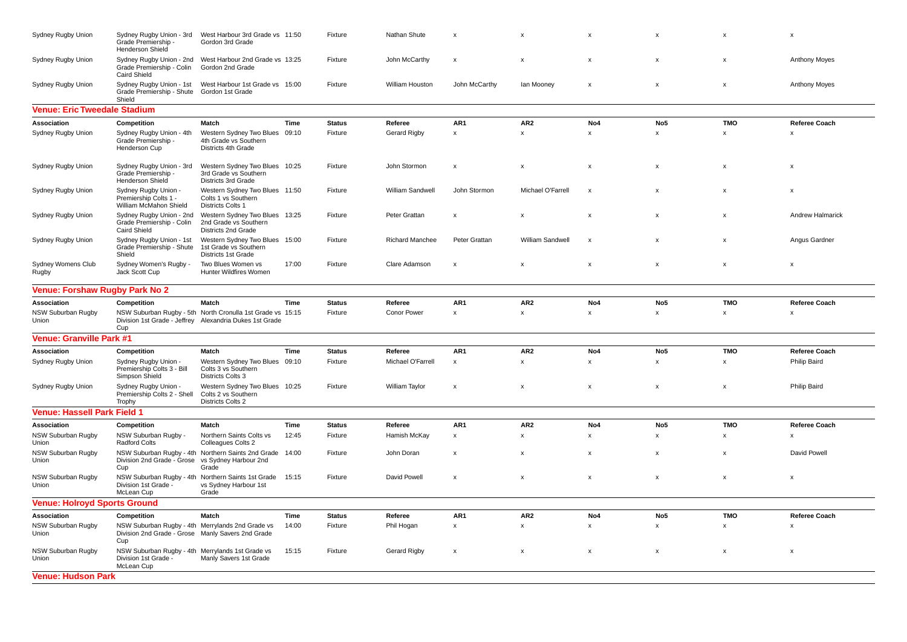| Sydney Rugby Union                  | Sydney Rugby Union - 3rd<br>Grade Premiership -<br><b>Henderson Shield</b>                                   | West Harbour 3rd Grade vs 11:50<br>Gordon 3rd Grade                                                                   |       | Fixture       | Nathan Shute           | $\boldsymbol{\mathsf{x}}$ | $\mathbf{x}$       | x                         | $\boldsymbol{\mathsf{x}}$ | $\boldsymbol{\mathsf{x}}$ | $\boldsymbol{\mathsf{x}}$ |
|-------------------------------------|--------------------------------------------------------------------------------------------------------------|-----------------------------------------------------------------------------------------------------------------------|-------|---------------|------------------------|---------------------------|--------------------|---------------------------|---------------------------|---------------------------|---------------------------|
| Sydney Rugby Union                  | Grade Premiership - Colin<br><b>Caird Shield</b>                                                             | Sydney Rugby Union - 2nd  West Harbour 2nd Grade vs 13:25<br>Gordon 2nd Grade                                         |       | Fixture       | John McCarthy          | $\boldsymbol{\mathsf{x}}$ | X                  | X                         | $\boldsymbol{\mathsf{x}}$ | X                         | <b>Anthony Moyes</b>      |
| Sydney Rugby Union                  | Sydney Rugby Union - 1st<br>Grade Premiership - Shute<br>Shield                                              | West Harbour 1st Grade vs 15:00<br>Gordon 1st Grade                                                                   |       | Fixture       | William Houston        | John McCarthy             | lan Mooney         | X                         | $\boldsymbol{\mathsf{x}}$ | $\mathsf{x}$              | <b>Anthony Moyes</b>      |
| <b>Venue: Eric Tweedale Stadium</b> |                                                                                                              |                                                                                                                       |       |               |                        |                           |                    |                           |                           |                           |                           |
| Association                         | Competition                                                                                                  | Match                                                                                                                 | Time  | <b>Status</b> | Referee                | AR1                       | AR <sub>2</sub>    | No4                       | No <sub>5</sub>           | <b>TMO</b>                | Referee Coach             |
| Sydney Rugby Union                  | Sydney Rugby Union - 4th<br>Grade Premiership -<br>Henderson Cup                                             | Western Sydney Two Blues<br>4th Grade vs Southern<br>Districts 4th Grade                                              | 09:10 | Fixture       | <b>Gerard Rigby</b>    | $\pmb{\mathsf{x}}$        | $\mathsf{x}$       | $\mathsf{x}$              | $\mathsf{x}$              | $\mathsf{x}$              | X                         |
| Sydney Rugby Union                  | Sydney Rugby Union - 3rd<br>Grade Premiership -<br>Henderson Shield                                          | Western Sydney Two Blues 10:25<br>3rd Grade vs Southern<br>Districts 3rd Grade                                        |       | Fixture       | John Stormon           | $\boldsymbol{\mathsf{x}}$ | x                  | X                         | x                         | X                         | x                         |
| Sydney Rugby Union                  | Sydney Rugby Union -<br>Premiership Colts 1 -<br>William McMahon Shield                                      | Western Sydney Two Blues 11:50<br>Colts 1 vs Southern<br>Districts Colts 1                                            |       | Fixture       | William Sandwell       | John Stormon              | Michael O'Farrell  | $\boldsymbol{\mathsf{x}}$ | $\boldsymbol{\mathsf{x}}$ | X                         | $\boldsymbol{\mathsf{x}}$ |
| Sydney Rugby Union                  | Sydney Rugby Union - 2nd<br>Grade Premiership - Colin<br>Caird Shield                                        | Western Sydney Two Blues<br>2nd Grade vs Southern<br>Districts 2nd Grade                                              | 13:25 | Fixture       | Peter Grattan          | $\mathbf{x}$              | $\mathbf{x}$       | $\boldsymbol{\mathsf{x}}$ | $\boldsymbol{\mathsf{x}}$ | $\mathbf{x}$              | <b>Andrew Halmarick</b>   |
| Sydney Rugby Union                  | Sydney Rugby Union - 1st<br>Grade Premiership - Shute<br>Shield                                              | Western Sydney Two Blues 15:00<br>1st Grade vs Southern<br>Districts 1st Grade                                        |       | Fixture       | <b>Richard Manchee</b> | Peter Grattan             | William Sandwell   | $\boldsymbol{\mathsf{x}}$ | $\boldsymbol{\mathsf{x}}$ | $\mathsf{x}$              | Angus Gardner             |
| Sydney Womens Club<br>Rugby         | Sydney Women's Rugby -<br>Jack Scott Cup                                                                     | Two Blues Women vs<br>Hunter Wildfires Women                                                                          | 17:00 | Fixture       | Clare Adamson          | $\boldsymbol{\mathsf{x}}$ | X                  | X                         | $\boldsymbol{\mathsf{x}}$ | X                         | $\boldsymbol{\mathsf{x}}$ |
| Venue: Forshaw Rugby Park No 2      |                                                                                                              |                                                                                                                       |       |               |                        |                           |                    |                           |                           |                           |                           |
| Association                         | Competition                                                                                                  | Match                                                                                                                 | Time  | <b>Status</b> | Referee                | AR1                       | AR <sub>2</sub>    | No4                       | No <sub>5</sub>           | <b>TMO</b>                | Referee Coach             |
| NSW Suburban Rugby<br>Union         | Cup                                                                                                          | NSW Suburban Rugby - 5th North Cronulla 1st Grade vs 15:15<br>Division 1st Grade - Jeffrey Alexandria Dukes 1st Grade |       | Fixture       | Conor Power            | $\boldsymbol{\mathsf{x}}$ | $\mathsf{x}$       | x                         | $\pmb{\times}$            | $\mathsf{x}$              | X                         |
| <b>Venue: Granville Park #1</b>     |                                                                                                              |                                                                                                                       |       |               |                        |                           |                    |                           |                           |                           |                           |
| Association                         | Competition                                                                                                  | Match                                                                                                                 | Time  | <b>Status</b> | Referee                | AR1                       | AR <sub>2</sub>    | No4                       | No <sub>5</sub>           | <b>TMO</b>                | Referee Coach             |
| Sydney Rugby Union                  | Sydney Rugby Union -<br>Premiership Colts 3 - Bill<br>Simpson Shield                                         | Western Sydney Two Blues 09:10<br>Colts 3 vs Southern<br>Districts Colts 3                                            |       | Fixture       | Michael O'Farrell      | $\boldsymbol{\mathsf{x}}$ | $\pmb{\times}$     | x                         | $\pmb{\times}$            | $\mathbf x$               | Philip Baird              |
| Sydney Rugby Union                  | Sydney Rugby Union -<br>Premiership Colts 2 - Shell<br>Trophy                                                | Western Sydney Two Blues 10:25<br>Colts 2 vs Southern<br>Districts Colts 2                                            |       | Fixture       | William Taylor         | $\boldsymbol{\mathsf{x}}$ | $\mathsf{x}$       | x                         | X                         | $\mathsf{x}$              | Philip Baird              |
| <b>Venue: Hassell Park Field 1</b>  |                                                                                                              |                                                                                                                       |       |               |                        |                           |                    |                           |                           |                           |                           |
| Association                         | Competition                                                                                                  | Match                                                                                                                 | Time  | <b>Status</b> | Referee                | AR <sub>1</sub>           | AR <sub>2</sub>    | No <sub>4</sub>           | No <sub>5</sub>           | <b>TMO</b>                | <b>Referee Coach</b>      |
| NSW Suburban Rugby<br>Union         | NSW Suburban Rugby -<br><b>Radford Colts</b>                                                                 | Northern Saints Colts vs<br>Colleagues Colts 2                                                                        | 12:45 | Fixture       | Hamish McKay           | $\boldsymbol{\mathsf{x}}$ | $\mathsf{x}$       | x                         | $\boldsymbol{\mathsf{x}}$ | $\mathsf{x}$              | $\boldsymbol{\mathsf{x}}$ |
| NSW Suburban Rugby<br>Union         | Division 2nd Grade - Grose vs Sydney Harbour 2nd<br>Cup                                                      | NSW Suburban Rugby - 4th Northern Saints 2nd Grade<br>Grade                                                           | 14:00 | Fixture       | John Doran             | $\boldsymbol{\mathsf{x}}$ | X                  | X                         | $\boldsymbol{\mathsf{x}}$ | X                         | David Powell              |
| NSW Suburban Rugby<br>Union         | NSW Suburban Rugby - 4th Northern Saints 1st Grade<br>Division 1st Grade -<br>McLean Cup                     | vs Sydney Harbour 1st<br>Grade                                                                                        | 15:15 | Fixture       | David Powell           | $\boldsymbol{\mathsf{x}}$ | $\mathsf{x}$       | $\boldsymbol{\mathsf{x}}$ | x                         | X                         | x                         |
| <b>Venue: Holroyd Sports Ground</b> |                                                                                                              |                                                                                                                       |       |               |                        |                           |                    |                           |                           |                           |                           |
| Association                         | Competition                                                                                                  | Match                                                                                                                 | Time  | <b>Status</b> | Referee                | AR1                       | AR <sub>2</sub>    | No <sub>4</sub>           | No <sub>5</sub>           | <b>TMO</b>                | Referee Coach             |
| NSW Suburban Rugby<br>Union         | NSW Suburban Rugby - 4th Merrylands 2nd Grade vs<br>Division 2nd Grade - Grose Manly Savers 2nd Grade<br>Cup |                                                                                                                       | 14:00 | Fixture       | Phil Hogan             | $\pmb{\mathsf{x}}$        | $\pmb{\mathsf{x}}$ | $\pmb{\mathsf{x}}$        | $\pmb{\mathsf{x}}$        | $\mathsf{x}$              | $\boldsymbol{\mathsf{x}}$ |
| NSW Suburban Rugby<br>Union         | NSW Suburban Rugby - 4th Merrylands 1st Grade vs<br>Division 1st Grade -<br>McLean Cup                       | Manly Savers 1st Grade                                                                                                | 15:15 | Fixture       | Gerard Rigby           | $\boldsymbol{\mathsf{x}}$ | X                  | x                         | X                         | $\mathsf{x}$              | X                         |
| <b>Venue: Hudson Park</b>           |                                                                                                              |                                                                                                                       |       |               |                        |                           |                    |                           |                           |                           |                           |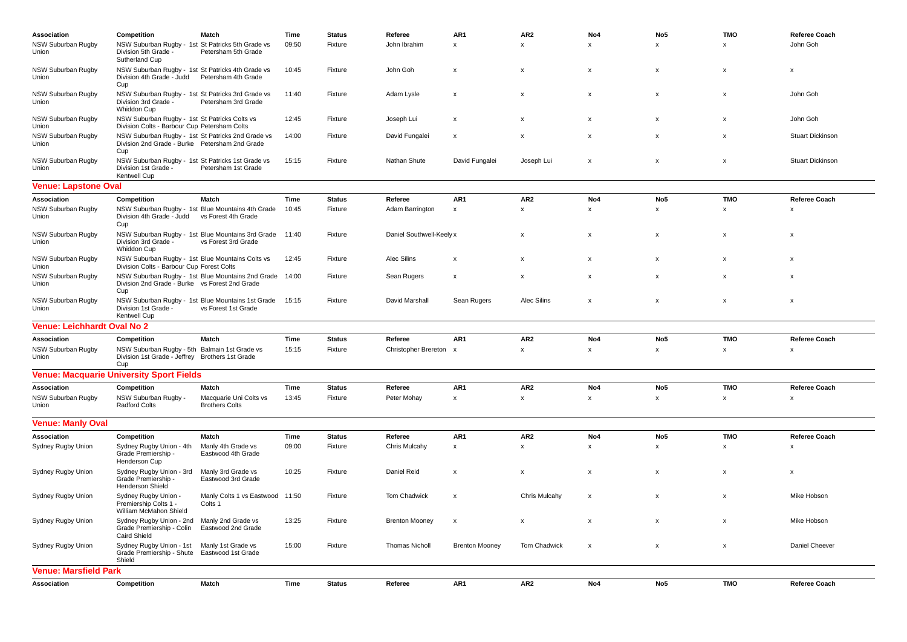| Association                        | Competition                                                                                                | Match                                                                          | Time  | <b>Status</b> | Referee                  | AR <sub>1</sub>           | AR <sub>2</sub>           | No4                       | No <sub>5</sub> | <b>TMO</b>                | Referee Coach           |  |  |
|------------------------------------|------------------------------------------------------------------------------------------------------------|--------------------------------------------------------------------------------|-------|---------------|--------------------------|---------------------------|---------------------------|---------------------------|-----------------|---------------------------|-------------------------|--|--|
| NSW Suburban Rugby                 | NSW Suburban Rugby - 1st St Patricks 5th Grade vs                                                          |                                                                                | 09:50 | Fixture       | John Ibrahim             | X                         | $\mathbf{x}$              | $\mathsf{x}$              | $\mathsf{x}$    | $\boldsymbol{\mathsf{x}}$ | John Goh                |  |  |
| Union                              | Division 5th Grade -<br>Sutherland Cup                                                                     | Petersham 5th Grade                                                            |       |               |                          |                           |                           |                           |                 |                           |                         |  |  |
| NSW Suburban Rugby                 | NSW Suburban Rugby - 1st St Patricks 4th Grade vs                                                          |                                                                                | 10:45 | Fixture       | John Goh                 | X                         | X                         | $\pmb{\times}$            | X               | X                         | x                       |  |  |
| Union                              | Division 4th Grade - Judd<br>Cup                                                                           | Petersham 4th Grade                                                            |       |               |                          |                           |                           |                           |                 |                           |                         |  |  |
| NSW Suburban Rugby<br>Union        | NSW Suburban Rugby - 1st St Patricks 3rd Grade vs<br>Division 3rd Grade -<br>Whiddon Cup                   | Petersham 3rd Grade                                                            | 11:40 | Fixture       | Adam Lysle               | x                         | x                         | $\pmb{\times}$            | X               | x                         | John Goh                |  |  |
| <b>NSW Suburban Rugby</b><br>Union | NSW Suburban Rugby - 1st St Patricks Colts vs<br>Division Colts - Barbour Cup Petersham Colts              |                                                                                | 12:45 | Fixture       | Joseph Lui               | X                         | X                         | $\boldsymbol{\mathsf{x}}$ | X               | $\boldsymbol{\mathsf{x}}$ | John Goh                |  |  |
| NSW Suburban Rugby<br>Union        | NSW Suburban Rugby - 1st St Patricks 2nd Grade vs<br>Division 2nd Grade - Burke Petersham 2nd Grade<br>Cup |                                                                                | 14:00 | Fixture       | David Fungalei           | X                         |                           | $\boldsymbol{\mathsf{x}}$ | X               | $\boldsymbol{\mathsf{x}}$ | <b>Stuart Dickinson</b> |  |  |
| NSW Suburban Rugby<br>Union        | NSW Suburban Rugby - 1st St Patricks 1st Grade vs<br>Division 1st Grade -<br>Kentwell Cup                  | Petersham 1st Grade                                                            | 15:15 | Fixture       | Nathan Shute             | David Fungalei            | Joseph Lui                | $\boldsymbol{\mathsf{x}}$ | x               | $\boldsymbol{\mathsf{x}}$ | <b>Stuart Dickinson</b> |  |  |
| <b>Venue: Lapstone Oval</b>        |                                                                                                            |                                                                                |       |               |                          |                           |                           |                           |                 |                           |                         |  |  |
| Association                        | Competition                                                                                                | Match                                                                          | Time  | <b>Status</b> | Referee                  | AR1                       | AR <sub>2</sub>           | No4                       | No <sub>5</sub> | <b>TMO</b>                | Referee Coach           |  |  |
| NSW Suburban Rugby                 | NSW Suburban Rugby - 1st Blue Mountains 4th Grade                                                          |                                                                                | 10:45 | Fixture       | Adam Barrington          | x                         | $\boldsymbol{\mathsf{x}}$ | X                         | X               | X                         | X                       |  |  |
| Union                              | Division 4th Grade - Judd<br>Cup                                                                           | vs Forest 4th Grade                                                            |       |               |                          |                           |                           |                           |                 |                           |                         |  |  |
| NSW Suburban Rugby<br>Union        | Division 3rd Grade -<br>Whiddon Cup                                                                        | NSW Suburban Rugby - 1st Blue Mountains 3rd Grade 11:40<br>vs Forest 3rd Grade |       | Fixture       | Daniel Southwell-Keely x |                           | $\boldsymbol{\mathsf{x}}$ | X                         | x               | X                         | $\pmb{\times}$          |  |  |
| NSW Suburban Rugby<br>Union        | NSW Suburban Rugby - 1st Blue Mountains Colts vs<br>Division Colts - Barbour Cup Forest Colts              |                                                                                | 12:45 | Fixture       | Alec Silins              | x                         | х                         | $\pmb{\times}$            | x               | X                         | X                       |  |  |
| NSW Suburban Rugby<br>Union        | Division 2nd Grade - Burke vs Forest 2nd Grade<br>Cup                                                      | NSW Suburban Rugby - 1st Blue Mountains 2nd Grade 14:00                        |       | Fixture       | Sean Rugers              | X                         | $\mathsf{x}$              | $\boldsymbol{\mathsf{x}}$ | X               | $\boldsymbol{\mathsf{x}}$ | X                       |  |  |
| NSW Suburban Rugby<br>Union        | NSW Suburban Rugby - 1st Blue Mountains 1st Grade<br>Division 1st Grade -<br>Kentwell Cup                  | vs Forest 1st Grade                                                            | 15:15 | Fixture       | David Marshall           | Sean Rugers               | Alec Silins               | $\boldsymbol{\mathsf{x}}$ | X               | X                         | $\pmb{\times}$          |  |  |
|                                    | <b>Venue: Leichhardt Oval No 2</b>                                                                         |                                                                                |       |               |                          |                           |                           |                           |                 |                           |                         |  |  |
| Association                        | Competition                                                                                                | Match                                                                          | Time  | <b>Status</b> | Referee                  | AR <sub>1</sub>           | AR <sub>2</sub>           | No4                       | No <sub>5</sub> | <b>TMO</b>                | Referee Coach           |  |  |
| NSW Suburban Rugby                 | NSW Suburban Rugby - 5th Balmain 1st Grade vs                                                              |                                                                                | 15:15 | Fixture       | Christopher Brereton     | $\boldsymbol{\mathsf{x}}$ | x                         | $\pmb{\mathsf{x}}$        | X               | x                         | $\pmb{\times}$          |  |  |
| Union                              | Division 1st Grade - Jeffrey Brothers 1st Grade<br>Cup                                                     |                                                                                |       |               |                          |                           |                           |                           |                 |                           |                         |  |  |
|                                    | <b>Venue: Macquarie University Sport Fields</b>                                                            |                                                                                |       |               |                          |                           |                           |                           |                 |                           |                         |  |  |
| Association                        | Competition                                                                                                | Match                                                                          | Time  | <b>Status</b> | Referee                  | AR1                       | AR <sub>2</sub>           | No4                       | No <sub>5</sub> | <b>TMO</b>                | <b>Referee Coach</b>    |  |  |
| NSW Suburban Rugby<br>Union        | NSW Suburban Rugby -<br><b>Radford Colts</b>                                                               | Macquarie Uni Colts vs<br><b>Brothers Colts</b>                                | 13:45 | Fixture       | Peter Mohay              | x                         | x                         | $\pmb{\mathsf{x}}$        | x               | $\pmb{\times}$            | $\pmb{\times}$          |  |  |
| <b>Venue: Manly Oval</b>           |                                                                                                            |                                                                                |       |               |                          |                           |                           |                           |                 |                           |                         |  |  |
| Association                        | Competition                                                                                                | Match                                                                          | Time  | <b>Status</b> | Referee                  | AR1                       | AR <sub>2</sub>           | No4                       | No <sub>5</sub> | <b>TMO</b>                | Referee Coach           |  |  |
| Sydney Rugby Union                 | Sydney Rugby Union - 4th<br>Grade Premiership -<br>Henderson Cup                                           | Manly 4th Grade vs<br>Eastwood 4th Grade                                       | 09:00 | Fixture       | Chris Mulcahy            | $\boldsymbol{\mathsf{x}}$ | X                         | $\boldsymbol{\mathsf{x}}$ | X               | $\boldsymbol{\mathsf{x}}$ | X                       |  |  |
| Sydney Rugby Union                 | Sydney Rugby Union - 3rd<br>Grade Premiership -<br>Henderson Shield                                        | Manly 3rd Grade vs<br>Eastwood 3rd Grade                                       | 10:25 | Fixture       | Daniel Reid              | x                         | $\boldsymbol{\mathsf{x}}$ | X                         | x               | X                         | х                       |  |  |
| Sydney Rugby Union                 | Sydney Rugby Union -<br>Premiership Colts 1 -<br>William McMahon Shield                                    | Manly Colts 1 vs Eastwood 11:50<br>Colts 1                                     |       | Fixture       | Tom Chadwick             | X                         | <b>Chris Mulcahy</b>      | $\boldsymbol{\mathsf{x}}$ | x               | $\boldsymbol{\mathsf{x}}$ | Mike Hobson             |  |  |
| Sydney Rugby Union                 | Sydney Rugby Union - 2nd<br>Grade Premiership - Colin<br><b>Caird Shield</b>                               | Manly 2nd Grade vs<br>Eastwood 2nd Grade                                       | 13:25 | Fixture       | <b>Brenton Mooney</b>    | X                         | x                         | $\boldsymbol{\mathsf{x}}$ | X               | X                         | Mike Hobson             |  |  |
| Sydney Rugby Union                 | Sydney Rugby Union - 1st<br>Grade Premiership - Shute<br>Shield                                            | Manly 1st Grade vs<br>Eastwood 1st Grade                                       | 15:00 | Fixture       | <b>Thomas Nicholl</b>    | <b>Brenton Mooney</b>     | Tom Chadwick              | $\boldsymbol{\mathsf{x}}$ | X               | x                         | Daniel Cheever          |  |  |
| <b>Venue: Marsfield Park</b>       |                                                                                                            |                                                                                |       |               |                          |                           |                           |                           |                 |                           |                         |  |  |
| Association                        | Competition                                                                                                | Match                                                                          | Time  | <b>Status</b> | Referee                  | AR1                       | AR <sub>2</sub>           | No4                       | No <sub>5</sub> | <b>TMO</b>                | <b>Referee Coach</b>    |  |  |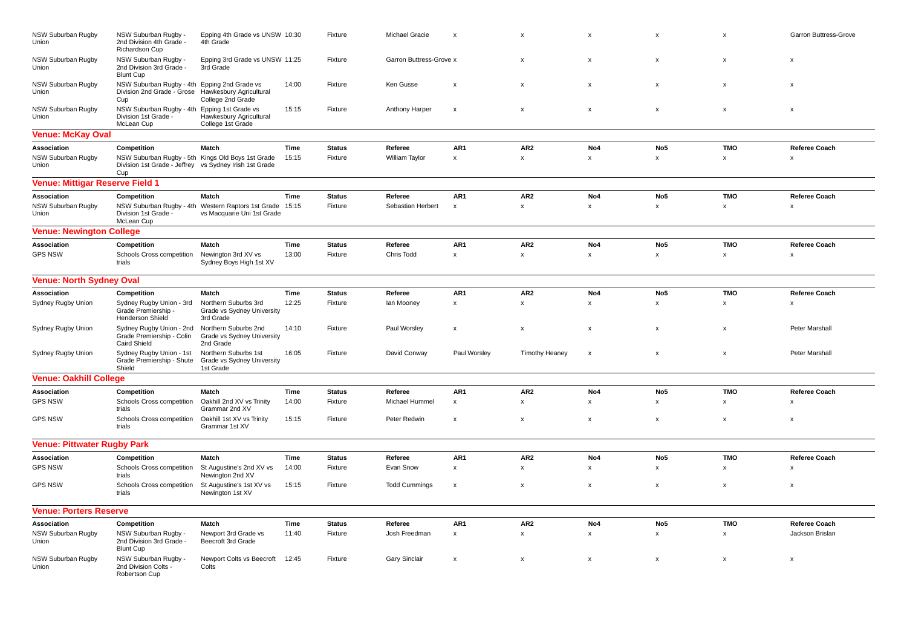| NSW Suburban Rugby<br>Union            | NSW Suburban Rugby -<br>2nd Division 4th Grade -<br>Richardson Cup                 | Epping 4th Grade vs UNSW 10:30<br>4th Grade                                            |       | Fixture       | Michael Gracie          | $\boldsymbol{\mathsf{x}}$ | $\mathsf{x}$          | $\mathsf{x}$              | $\mathsf{x}$              | $\mathsf{x}$              | <b>Garron Buttress-Grove</b> |
|----------------------------------------|------------------------------------------------------------------------------------|----------------------------------------------------------------------------------------|-------|---------------|-------------------------|---------------------------|-----------------------|---------------------------|---------------------------|---------------------------|------------------------------|
| NSW Suburban Rugby<br>Union            | NSW Suburban Rugby -<br>2nd Division 3rd Grade -<br><b>Blunt Cup</b>               | Epping 3rd Grade vs UNSW 11:25<br>3rd Grade                                            |       | Fixture       | Garron Buttress-Grove x |                           | X                     | $\boldsymbol{\mathsf{x}}$ | X                         | $\boldsymbol{\mathsf{x}}$ | X                            |
| <b>NSW Suburban Rugby</b><br>Union     | NSW Suburban Rugby - 4th Epping 2nd Grade vs<br>Division 2nd Grade - Grose<br>Cup  | Hawkesbury Agricultural<br>College 2nd Grade                                           | 14:00 | Fixture       | Ken Gusse               | $\mathbf{x}$              | $\mathsf{x}$          | $\mathsf{x}$              | $\boldsymbol{\mathsf{x}}$ | $\boldsymbol{\mathsf{x}}$ | $\mathsf{x}$                 |
| NSW Suburban Rugby<br>Union            | NSW Suburban Rugby - 4th Epping 1st Grade vs<br>Division 1st Grade -<br>McLean Cup | Hawkesbury Agricultural<br>College 1st Grade                                           | 15:15 | Fixture       | Anthony Harper          | $\boldsymbol{\mathsf{x}}$ | $\pmb{\times}$        | $\pmb{\times}$            | $\pmb{\times}$            | $\pmb{\times}$            | X                            |
| <b>Venue: McKay Oval</b>               |                                                                                    |                                                                                        |       |               |                         |                           |                       |                           |                           |                           |                              |
| Association                            | Competition                                                                        | Match                                                                                  | Time  | <b>Status</b> | Referee                 | AR1                       | AR <sub>2</sub>       | No4                       | No <sub>5</sub>           | <b>TMO</b>                | Referee Coach                |
| NSW Suburban Rugby<br>Union            | Division 1st Grade - Jeffrey vs Sydney Irish 1st Grade<br>Cup                      | NSW Suburban Rugby - 5th Kings Old Boys 1st Grade                                      | 15:15 | Fixture       | William Taylor          | $\pmb{\mathsf{x}}$        | $\mathsf{x}$          | $\pmb{\mathsf{x}}$        | $\mathsf x$               | $\pmb{\mathsf{x}}$        | $\mathsf{x}$                 |
| <b>Venue: Mittigar Reserve Field 1</b> |                                                                                    |                                                                                        |       |               |                         |                           |                       |                           |                           |                           |                              |
| Association                            | Competition                                                                        | Match                                                                                  | Time  | <b>Status</b> | Referee                 | AR1                       | AR <sub>2</sub>       | No4                       | No <sub>5</sub>           | <b>TMO</b>                | <b>Referee Coach</b>         |
| NSW Suburban Rugby<br>Union            | Division 1st Grade -<br>McLean Cup                                                 | NSW Suburban Rugby - 4th Western Raptors 1st Grade 15:15<br>vs Macquarie Uni 1st Grade |       | Fixture       | Sebastian Herbert       | $\boldsymbol{\mathsf{x}}$ | $\pmb{\times}$        | $\pmb{\times}$            | x                         | $\pmb{\times}$            | X                            |
| <b>Venue: Newington College</b>        |                                                                                    |                                                                                        |       |               |                         |                           |                       |                           |                           |                           |                              |
| Association                            | Competition                                                                        | Match                                                                                  | Time  | <b>Status</b> | Referee                 | AR1                       | AR <sub>2</sub>       | No4                       | No <sub>5</sub>           | <b>TMO</b>                | <b>Referee Coach</b>         |
| <b>GPS NSW</b>                         | Schools Cross competition<br>trials                                                | Newington 3rd XV vs<br>Sydney Boys High 1st XV                                         | 13:00 | Fixture       | Chris Todd              | $\pmb{\mathsf{x}}$        | x                     | $\pmb{\times}$            | $\mathsf x$               | x                         | $\mathsf{x}$                 |
| <b>Venue: North Sydney Oval</b>        |                                                                                    |                                                                                        |       |               |                         |                           |                       |                           |                           |                           |                              |
| Association                            | Competition                                                                        | <b>Match</b>                                                                           | Time  | <b>Status</b> | Referee                 | AR1                       | AR <sub>2</sub>       | No <sub>4</sub>           | No <sub>5</sub>           | <b>TMO</b>                | <b>Referee Coach</b>         |
| Sydney Rugby Union                     | Sydney Rugby Union - 3rd<br>Grade Premiership -<br>Henderson Shield                | Northern Suburbs 3rd<br>Grade vs Sydney University<br>3rd Grade                        | 12:25 | Fixture       | lan Mooney              | $\pmb{\mathsf{x}}$        | $\mathsf x$           | $\pmb{\mathsf{x}}$        | $\pmb{\mathsf{x}}$        | $\pmb{\mathsf{x}}$        | $\mathsf{x}$                 |
| Sydney Rugby Union                     | Sydney Rugby Union - 2nd<br>Grade Premiership - Colin<br>Caird Shield              | Northern Suburbs 2nd<br>Grade vs Sydney University<br>2nd Grade                        | 14:10 | Fixture       | Paul Worsley            | X                         | $\pmb{\times}$        | $\pmb{\mathsf{x}}$        | $\pmb{\times}$            | $\pmb{\times}$            | <b>Peter Marshall</b>        |
| Sydney Rugby Union                     | Sydney Rugby Union - 1st<br>Grade Premiership - Shute<br>Shield                    | Northern Suburbs 1st<br>Grade vs Sydney University<br>1st Grade                        | 16:05 | Fixture       | David Conway            | Paul Worsley              | <b>Timothy Heaney</b> | $\boldsymbol{\mathsf{x}}$ | X                         | $\boldsymbol{\mathsf{x}}$ | <b>Peter Marshall</b>        |
| <b>Venue: Oakhill College</b>          |                                                                                    |                                                                                        |       |               |                         |                           |                       |                           |                           |                           |                              |
| Association                            | Competition                                                                        | Match                                                                                  | Time  | <b>Status</b> | Referee                 | AR1                       | AR <sub>2</sub>       | No4                       | No <sub>5</sub>           | <b>TMO</b>                | <b>Referee Coach</b>         |
| <b>GPS NSW</b>                         | Schools Cross competition<br>trials                                                | Oakhill 2nd XV vs Trinity<br>Grammar 2nd XV                                            | 14:00 | Fixture       | Michael Hummel          | $\pmb{\mathsf{x}}$        | x                     | $\pmb{\mathsf{x}}$        | x                         | x                         | $\boldsymbol{\mathsf{x}}$    |
| <b>GPS NSW</b>                         | Schools Cross competition<br>trials                                                | Oakhill 1st XV vs Trinity<br>Grammar 1st XV                                            | 15:15 | Fixture       | Peter Redwin            | $\boldsymbol{\mathsf{x}}$ | $\pmb{\times}$        | $\pmb{\times}$            | x                         | X                         | X                            |
| <b>Venue: Pittwater Rugby Park</b>     |                                                                                    |                                                                                        |       |               |                         |                           |                       |                           |                           |                           |                              |
| Association                            | Competition                                                                        | Match                                                                                  | Time  | <b>Status</b> | Referee                 | AR1                       | AR <sub>2</sub>       | No4                       | No <sub>5</sub>           | <b>TMO</b>                | <b>Referee Coach</b>         |
| <b>GPS NSW</b>                         | Schools Cross competition<br>trials                                                | St Augustine's 2nd XV vs<br>Newington 2nd XV                                           | 14:00 | Fixture       | Evan Snow               | $\pmb{\mathsf{x}}$        | $\pmb{\mathsf{x}}$    | $\pmb{\mathsf{x}}$        | $\mathsf x$               | $\pmb{\mathsf{x}}$        | $\boldsymbol{\mathsf{x}}$    |
| <b>GPS NSW</b>                         | Schools Cross competition<br>trials                                                | St Augustine's 1st XV vs<br>Newington 1st XV                                           | 15:15 | Fixture       | <b>Todd Cummings</b>    | $\boldsymbol{\mathsf{x}}$ | X                     | $\boldsymbol{\mathsf{x}}$ | X                         | x                         | X                            |
| <b>Venue: Porters Reserve</b>          |                                                                                    |                                                                                        |       |               |                         |                           |                       |                           |                           |                           |                              |
| Association                            | Competition                                                                        | Match                                                                                  | Time  | <b>Status</b> | Referee                 | AR1                       | AR <sub>2</sub>       | No4                       | No <sub>5</sub>           | <b>TMO</b>                | <b>Referee Coach</b>         |
| NSW Suburban Rugby<br>Union            | NSW Suburban Rugby -<br>2nd Division 3rd Grade -<br><b>Blunt Cup</b>               | Newport 3rd Grade vs<br>Beecroft 3rd Grade                                             | 11:40 | Fixture       | Josh Freedman           | $\pmb{\mathsf{x}}$        | x                     | $\pmb{\mathsf{x}}$        | $\pmb{\times}$            | x                         | Jackson Brislan              |
| NSW Suburban Rugby<br>Union            | NSW Suburban Rugby -<br>2nd Division Colts -<br>Robertson Cup                      | Newport Colts vs Beecroft<br>Colts                                                     | 12:45 | Fixture       | <b>Gary Sinclair</b>    | $\mathbf{x}$              | $\mathsf{x}$          | $\mathsf{x}$              | x                         | $\mathsf{x}$              | $\mathsf{x}$                 |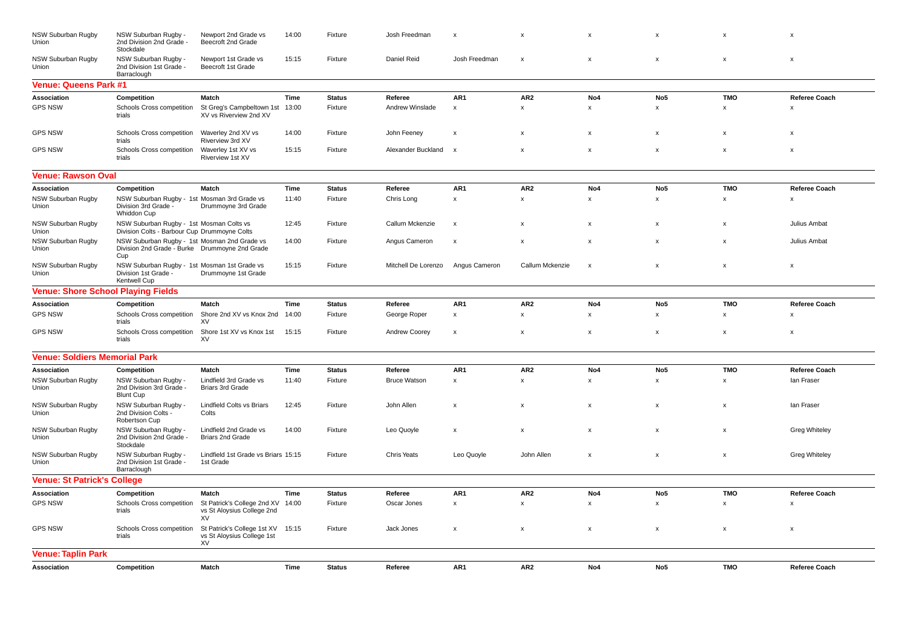| NSW Suburban Rugby<br>Union               | NSW Suburban Rugby -<br>2nd Division 2nd Grade -<br>Stockdale                                         | Newport 2nd Grade vs<br>Beecroft 2nd Grade                      | 14:00 | Fixture       | Josh Freedman       | $\boldsymbol{\mathsf{x}}$ | X                         | X                         | X                         | $\boldsymbol{\mathsf{x}}$ | X                    |
|-------------------------------------------|-------------------------------------------------------------------------------------------------------|-----------------------------------------------------------------|-------|---------------|---------------------|---------------------------|---------------------------|---------------------------|---------------------------|---------------------------|----------------------|
| NSW Suburban Rugby<br>Union               | NSW Suburban Rugby -<br>2nd Division 1st Grade -<br>Barraclough                                       | Newport 1st Grade vs<br>Beecroft 1st Grade                      | 15:15 | Fixture       | Daniel Reid         | Josh Freedman             | $\boldsymbol{\mathsf{x}}$ | x                         | x                         | x                         | X                    |
| <b>Venue: Queens Park #1</b>              |                                                                                                       |                                                                 |       |               |                     |                           |                           |                           |                           |                           |                      |
| Association                               | Competition                                                                                           | Match                                                           | Time  | <b>Status</b> | Referee             | AR1                       | AR <sub>2</sub>           | No4                       | No <sub>5</sub>           | <b>TMO</b>                | Referee Coach        |
| <b>GPS NSW</b>                            | Schools Cross competition<br>trials                                                                   | St Greg's Campbeltown 1st<br>XV vs Riverview 2nd XV             | 13:00 | Fixture       | Andrew Winslade     | $\pmb{\mathsf{x}}$        | $\mathsf{x}$              | $\pmb{\mathsf{x}}$        | $\pmb{\mathsf{x}}$        | x                         | $\mathsf{x}$         |
| <b>GPS NSW</b>                            | Schools Cross competition<br>trials                                                                   | Waverley 2nd XV vs<br>Riverview 3rd XV                          | 14:00 | Fixture       | John Feeney         | $\mathsf{x}$              | $\pmb{\mathsf{x}}$        | $\pmb{\mathsf{x}}$        | $\pmb{\mathsf{x}}$        | $\mathsf{x}$              | $\mathsf{x}$         |
| <b>GPS NSW</b>                            | Schools Cross competition<br>trials                                                                   | Waverley 1st XV vs<br><b>Riverview 1st XV</b>                   | 15:15 | Fixture       | Alexander Buckland  | $\mathsf{x}$              | $\pmb{\times}$            | $\pmb{\mathsf{x}}$        | $\pmb{\times}$            | X                         | x                    |
| <b>Venue: Rawson Oval</b>                 |                                                                                                       |                                                                 |       |               |                     |                           |                           |                           |                           |                           |                      |
| Association                               | Competition                                                                                           | Match                                                           | Time  | <b>Status</b> | Referee             | AR1                       | AR <sub>2</sub>           | No4                       | No <sub>5</sub>           | <b>TMO</b>                | Referee Coach        |
| NSW Suburban Rugby<br>Union               | NSW Suburban Rugby - 1st Mosman 3rd Grade vs<br>Division 3rd Grade -<br>Whiddon Cup                   | Drummoyne 3rd Grade                                             | 11:40 | Fixture       | Chris Long          | x                         | x                         | $\pmb{\mathsf{x}}$        | x                         | x                         | x                    |
| <b>NSW Suburban Rugby</b><br>Union        | NSW Suburban Rugby - 1st Mosman Colts vs<br>Division Colts - Barbour Cup Drummoyne Colts              |                                                                 | 12:45 | Fixture       | Callum Mckenzie     | $\pmb{\chi}$              | $\mathsf{x}$              | $\pmb{\mathsf{x}}$        | $\boldsymbol{\mathsf{x}}$ | $\mathsf{x}$              | Julius Ambat         |
| NSW Suburban Rugby<br>Union               | NSW Suburban Rugby - 1st Mosman 2nd Grade vs<br>Division 2nd Grade - Burke Drummoyne 2nd Grade<br>Cup |                                                                 | 14:00 | Fixture       | Angus Cameron       | $\boldsymbol{\mathsf{x}}$ | $\mathsf{x}$              | $\pmb{\mathsf{x}}$        | $\pmb{\times}$            | $\pmb{\times}$            | Julius Ambat         |
| NSW Suburban Rugby<br>Union               | NSW Suburban Rugby - 1st Mosman 1st Grade vs<br>Division 1st Grade -<br>Kentwell Cup                  | Drummoyne 1st Grade                                             | 15:15 | Fixture       | Mitchell De Lorenzo | Angus Cameron             | Callum Mckenzie           | $\boldsymbol{\mathsf{x}}$ | X                         | X                         | X                    |
| <b>Venue: Shore School Playing Fields</b> |                                                                                                       |                                                                 |       |               |                     |                           |                           |                           |                           |                           |                      |
| Association                               | Competition                                                                                           | Match                                                           | Time  | <b>Status</b> | Referee             | AR1                       | AR <sub>2</sub>           | No4                       | No <sub>5</sub>           | <b>TMO</b>                | <b>Referee Coach</b> |
| <b>GPS NSW</b>                            | Schools Cross competition<br>trials                                                                   | Shore 2nd XV vs Knox 2nd<br>XV                                  | 14:00 | Fixture       | George Roper        | x                         | $\pmb{\times}$            | $\pmb{\mathsf{x}}$        | x                         | x                         | x                    |
| <b>GPS NSW</b>                            | Schools Cross competition<br>trials                                                                   | Shore 1st XV vs Knox 1st<br>XV                                  | 15:15 | Fixture       | Andrew Coorey       | $\pmb{\times}$            | $\pmb{\times}$            | $\pmb{\mathsf{x}}$        | $\pmb{\times}$            | $\pmb{\times}$            | X                    |
| <b>Venue: Soldiers Memorial Park</b>      |                                                                                                       |                                                                 |       |               |                     |                           |                           |                           |                           |                           |                      |
| Association                               | Competition                                                                                           | Match                                                           | Time  | <b>Status</b> | Referee             | AR1                       | AR <sub>2</sub>           | No4                       | No <sub>5</sub>           | <b>TMO</b>                | Referee Coach        |
| NSW Suburban Rugby<br>Union               | NSW Suburban Rugby -<br>2nd Division 3rd Grade -<br><b>Blunt Cup</b>                                  | Lindfield 3rd Grade vs<br><b>Briars 3rd Grade</b>               | 11:40 | Fixture       | <b>Bruce Watson</b> | x                         | $\mathsf{x}$              | X                         | $\boldsymbol{\mathsf{x}}$ | X                         | lan Fraser           |
| NSW Suburban Rugby<br>Union               | NSW Suburban Rugby -<br>2nd Division Colts -<br>Robertson Cup                                         | <b>Lindfield Colts vs Briars</b><br>Colts                       | 12:45 | Fixture       | John Allen          | x                         | $\pmb{\times}$            | x                         | x                         | x                         | lan Fraser           |
| NSW Suburban Rugby<br>Union               | NSW Suburban Rugby -<br>2nd Division 2nd Grade -<br>Stockdale                                         | Lindfield 2nd Grade vs<br><b>Briars 2nd Grade</b>               | 14:00 | Fixture       | Leo Quoyle          | x                         | $\pmb{\times}$            | x                         | $\pmb{\times}$            | $\pmb{\times}$            | <b>Greg Whiteley</b> |
| NSW Suburban Rugby<br>Union               | NSW Suburban Rugby -<br>2nd Division 1st Grade -<br>Barraclough                                       | Lindfield 1st Grade vs Briars 15:15<br>1st Grade                |       | Fixture       | <b>Chris Yeats</b>  | Leo Quoyle                | John Allen                | x                         | $\pmb{\mathsf{x}}$        | $\pmb{\times}$            | <b>Greg Whiteley</b> |
| <b>Venue: St Patrick's College</b>        |                                                                                                       |                                                                 |       |               |                     |                           |                           |                           |                           |                           |                      |
| Association                               | Competition                                                                                           | Match                                                           | Time  | <b>Status</b> | Referee             | AR1                       | AR <sub>2</sub>           | No4                       | No <sub>5</sub>           | <b>TMO</b>                | Referee Coach        |
| <b>GPS NSW</b>                            | Schools Cross competition<br>trials                                                                   | St Patrick's College 2nd XV<br>vs St Aloysius College 2nd<br>XV | 14:00 | Fixture       | Oscar Jones         | $\boldsymbol{\mathsf{x}}$ | $\mathsf{x}$              | x                         | x                         | x                         | x                    |
| <b>GPS NSW</b>                            | Schools Cross competition<br>trials                                                                   | St Patrick's College 1st XV<br>vs St Aloysius College 1st<br>XV | 15:15 | Fixture       | Jack Jones          | $\boldsymbol{\mathsf{x}}$ | $\mathsf{x}$              | $\pmb{\mathsf{x}}$        | $\boldsymbol{\mathsf{x}}$ | $\boldsymbol{\mathsf{x}}$ | X                    |
| <b>Venue: Taplin Park</b>                 |                                                                                                       |                                                                 |       |               |                     |                           |                           |                           |                           |                           |                      |
| Association                               | Competition                                                                                           | Match                                                           | Time  | <b>Status</b> | Referee             | AR1                       | AR <sub>2</sub>           | No4                       | No <sub>5</sub>           | <b>TMO</b>                | Referee Coach        |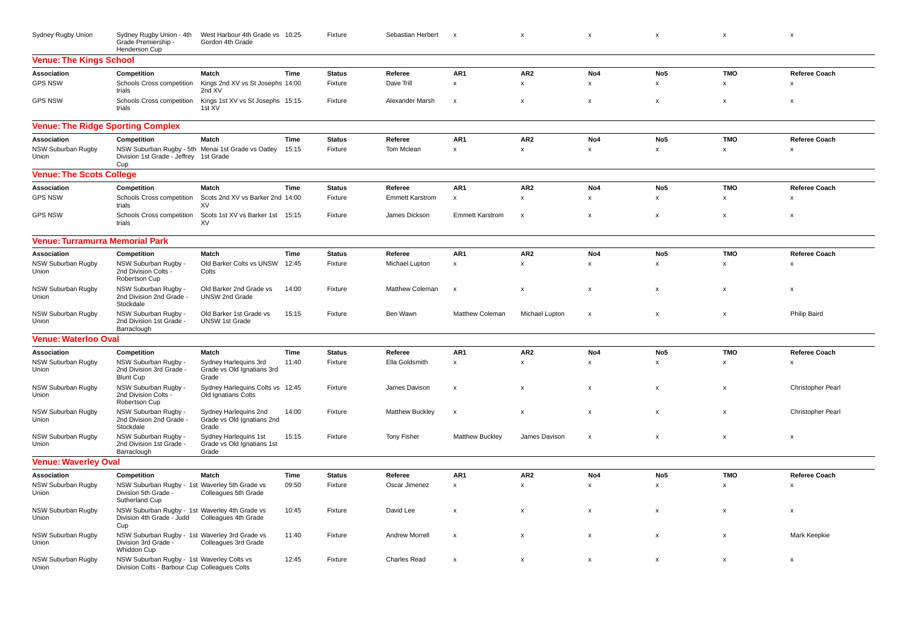| Sydney Rugby Union                       | Sydney Rugby Union - 4th<br>Grade Premiership -<br>Henderson Cup                                        | West Harbour 4th Grade vs 10:25<br>Gordon 4th Grade          |       | Fixture       | Sebastian Herbert      | $\pmb{\mathsf{x}}$        | x                         | x                         | X                         | $\pmb{\times}$            | $\boldsymbol{\mathsf{x}}$ |
|------------------------------------------|---------------------------------------------------------------------------------------------------------|--------------------------------------------------------------|-------|---------------|------------------------|---------------------------|---------------------------|---------------------------|---------------------------|---------------------------|---------------------------|
| <b>Venue: The Kings School</b>           |                                                                                                         |                                                              |       |               |                        |                           |                           |                           |                           |                           |                           |
| Association                              | Competition                                                                                             | Match                                                        | Time  | <b>Status</b> | Referee                | AR1                       | AR <sub>2</sub>           | No4                       | No <sub>5</sub>           | <b>TMO</b>                | Referee Coach             |
| <b>GPS NSW</b>                           | Schools Cross competition<br>trials                                                                     | Kings 2nd XV vs St Josephs 14:00<br>2nd XV                   |       | Fixture       | Dave Trill             | $\mathsf{x}$              | $\times$                  | $\mathbf{x}$              | $\mathbf{x}$              | $\mathsf{x}$              | $\mathsf{x}$              |
| <b>GPS NSW</b>                           | Schools Cross competition<br>trials                                                                     | Kings 1st XV vs St Josephs 15:15<br>1st XV                   |       | Fixture       | Alexander Marsh        | $\boldsymbol{\mathsf{x}}$ | x                         | x                         | X                         | $\boldsymbol{\mathsf{x}}$ | $\boldsymbol{\mathsf{x}}$ |
| <b>Venue: The Ridge Sporting Complex</b> |                                                                                                         |                                                              |       |               |                        |                           |                           |                           |                           |                           |                           |
| Association                              | Competition                                                                                             | Match                                                        | Time  | <b>Status</b> | Referee                | AR1                       | AR <sub>2</sub>           | No4                       | No <sub>5</sub>           | <b>TMO</b>                | <b>Referee Coach</b>      |
| NSW Suburban Rugby<br>Union              | Division 1st Grade - Jeffrey 1st Grade<br>Cup                                                           | NSW Suburban Rugby - 5th Menai 1st Grade vs Oatley           | 15:15 | Fixture       | Tom Mclean             | $\pmb{\times}$            | $\mathsf x$               | $\pmb{\mathsf{x}}$        | $\mathsf{x}$              | $\pmb{\times}$            | $\boldsymbol{\mathsf{x}}$ |
| <b>Venue: The Scots College</b>          |                                                                                                         |                                                              |       |               |                        |                           |                           |                           |                           |                           |                           |
| Association                              | Competition                                                                                             | Match                                                        | Time  | <b>Status</b> | Referee                | AR1                       | AR <sub>2</sub>           | No4                       | No <sub>5</sub>           | <b>TMO</b>                | Referee Coach             |
| <b>GPS NSW</b>                           | Schools Cross competition<br>trials                                                                     | Scots 2nd XV vs Barker 2nd 14:00<br>XV                       |       | Fixture       | <b>Emmett Karstrom</b> | $\pmb{\chi}$              | $\pmb{\mathsf{x}}$        | x                         | $\boldsymbol{\mathsf{x}}$ | $\pmb{\chi}$              | x                         |
| <b>GPS NSW</b>                           | Schools Cross competition<br>trials                                                                     | Scots 1st XV vs Barker 1st<br>XV                             | 15:15 | Fixture       | James Dickson          | <b>Emmett Karstrom</b>    | x                         | x                         | $\boldsymbol{\mathsf{x}}$ | X                         | $\boldsymbol{\mathsf{x}}$ |
| <b>Venue: Turramurra Memorial Park</b>   |                                                                                                         |                                                              |       |               |                        |                           |                           |                           |                           |                           |                           |
| Association                              | Competition                                                                                             | Match                                                        | Time  | <b>Status</b> | Referee                | AR1                       | AR <sub>2</sub>           | No4                       | No <sub>5</sub>           | <b>TMO</b>                | Referee Coach             |
| NSW Suburban Rugby<br>Union              | NSW Suburban Rugby -<br>2nd Division Colts -<br>Robertson Cup                                           | Old Barker Colts vs UNSW<br>Colts                            | 12:45 | Fixture       | Michael Lupton         | $\mathsf{x}$              | x                         | $\mathsf{x}$              | $\boldsymbol{\mathsf{x}}$ | $\boldsymbol{\mathsf{x}}$ | $\boldsymbol{\mathsf{x}}$ |
| NSW Suburban Rugby<br>Union              | NSW Suburban Rugby -<br>2nd Division 2nd Grade -<br>Stockdale                                           | Old Barker 2nd Grade vs<br>UNSW 2nd Grade                    | 14:00 | Fixture       | Matthew Coleman        | $\boldsymbol{\mathsf{x}}$ | $\boldsymbol{\mathsf{x}}$ | $\boldsymbol{\mathsf{x}}$ | $\boldsymbol{\mathsf{x}}$ | $\boldsymbol{\mathsf{x}}$ | $\boldsymbol{\mathsf{x}}$ |
| NSW Suburban Rugby<br>Union              | NSW Suburban Rugby -<br>2nd Division 1st Grade -<br>Barraclough                                         | Old Barker 1st Grade vs<br><b>UNSW 1st Grade</b>             | 15:15 | Fixture       | Ben Wawn               | Matthew Coleman           | Michael Lupton            | x                         | X                         | $\pmb{\mathsf{x}}$        | Philip Baird              |
| <b>Venue: Waterloo Oval</b>              |                                                                                                         |                                                              |       |               |                        |                           |                           |                           |                           |                           |                           |
| Association                              | Competition                                                                                             | Match                                                        | Time  | <b>Status</b> | Referee                | AR1                       | AR <sub>2</sub>           | No4                       | No <sub>5</sub>           | <b>TMO</b>                | Referee Coach             |
| NSW Suburban Rugby<br>Union              | NSW Suburban Rugby -<br>2nd Division 3rd Grade -<br><b>Blunt Cup</b>                                    | Sydney Harlequins 3rd<br>Grade vs Old Ignatians 3rd<br>Grade | 11:40 | Fixture       | Ella Goldsmith         | $\mathsf{x}$              | $\pmb{\mathsf{x}}$        | $\pmb{\mathsf{x}}$        | X                         | $\pmb{\mathsf{x}}$        | $\boldsymbol{\mathsf{x}}$ |
| <b>NSW Suburban Rugby</b><br>Union       | NSW Suburban Rugby -<br>2nd Division Colts -<br>Robertson Cup                                           | Sydney Harlequins Colts vs 12:45<br>Old Ignatians Colts      |       | Fixture       | James Davison          | x                         | x                         | x                         | x                         | X                         | Christopher Pearl         |
| NSW Suburban Rugby<br>Union              | NSW Suburban Rugby -<br>2nd Division 2nd Grade -<br>Stockdale                                           | Sydney Harlequins 2nd<br>Grade vs Old Ignatians 2nd<br>Grade | 14:00 | Fixture       | <b>Matthew Buckley</b> | $\pmb{\times}$            | $\mathsf{x}$              | $\boldsymbol{\mathsf{x}}$ | $\boldsymbol{\mathsf{x}}$ | $\boldsymbol{\mathsf{x}}$ | Christopher Pearl         |
| NSW Suburban Rugby<br>Union              | NSW Suburban Rugby -<br>2nd Division 1st Grade -<br>Barraclough                                         | Sydney Harlequins 1st<br>Grade vs Old Ignatians 1st<br>Grade | 15:15 | Fixture       | <b>Tony Fisher</b>     | <b>Matthew Buckley</b>    | James Davison             | x                         | x                         | X                         | x                         |
| <b>Venue: Waverley Oval</b>              |                                                                                                         |                                                              |       |               |                        |                           |                           |                           |                           |                           |                           |
| Association                              | Competition                                                                                             | Match                                                        | Time  | <b>Status</b> | Referee                | AR1                       | AR <sub>2</sub>           | No4                       | No <sub>5</sub>           | TMO                       | Referee Coach             |
| NSW Suburban Rugby<br>Union              | NSW Suburban Rugby - 1st Waverley 5th Grade vs<br>Division 5th Grade -<br>Sutherland Cup                | Colleagues 5th Grade                                         | 09:50 | Fixture       | Oscar Jimenez          | $\pmb{\times}$            | $\mathsf x$               | x                         | $\pmb{\chi}$              | $\pmb{\mathsf{x}}$        | x                         |
| NSW Suburban Rugby<br>Union              | NSW Suburban Rugby - 1st Waverley 4th Grade vs<br>Division 4th Grade - Judd Colleagues 4th Grade<br>Cup |                                                              | 10:45 | Fixture       | David Lee              | X                         | $\pmb{\times}$            | x                         | $\boldsymbol{\mathsf{x}}$ | X                         | x                         |
| NSW Suburban Rugby<br>Union              | NSW Suburban Rugby - 1st Waverley 3rd Grade vs<br>Division 3rd Grade -<br>Whiddon Cup                   | Colleagues 3rd Grade                                         | 11:40 | Fixture       | Andrew Morrell         | $\pmb{\times}$            | $\mathsf{x}$              | $\boldsymbol{\mathsf{x}}$ | $\boldsymbol{\mathsf{x}}$ | $\pmb{\chi}$              | Mark Keepkie              |
| NSW Suburban Rugby<br>Union              | NSW Suburban Rugby - 1st Waverley Colts vs<br>Division Colts - Barbour Cup Colleagues Colts             |                                                              | 12:45 | Fixture       | <b>Charles Read</b>    | $\boldsymbol{\mathsf{x}}$ | $\boldsymbol{\mathsf{x}}$ | X                         | X                         | $\boldsymbol{\mathsf{x}}$ | $\boldsymbol{\mathsf{x}}$ |